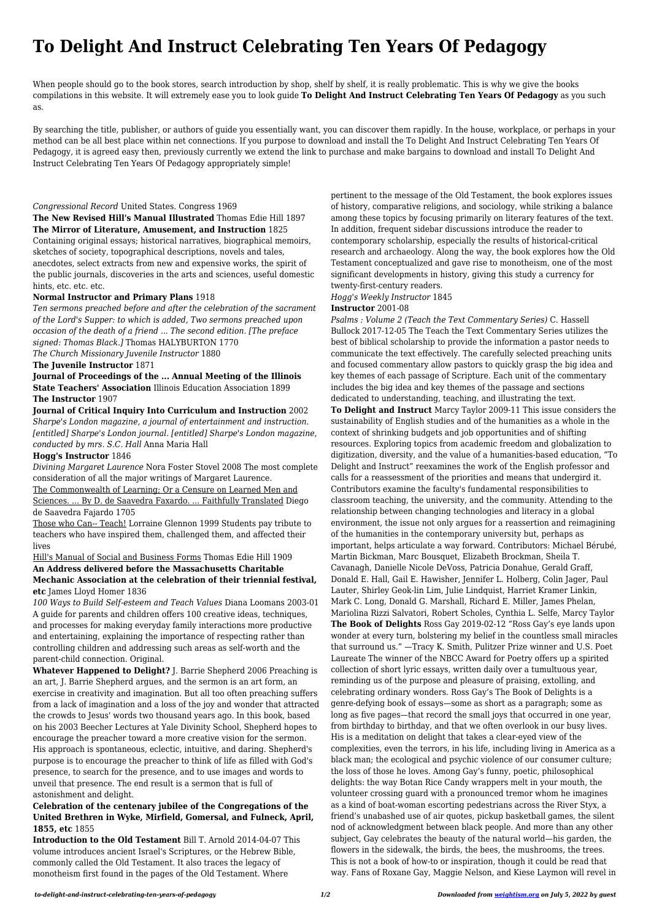# **To Delight And Instruct Celebrating Ten Years Of Pedagogy**

When people should go to the book stores, search introduction by shop, shelf by shelf, it is really problematic. This is why we give the books compilations in this website. It will extremely ease you to look guide **To Delight And Instruct Celebrating Ten Years Of Pedagogy** as you such as.

By searching the title, publisher, or authors of guide you essentially want, you can discover them rapidly. In the house, workplace, or perhaps in your method can be all best place within net connections. If you purpose to download and install the To Delight And Instruct Celebrating Ten Years Of Pedagogy, it is agreed easy then, previously currently we extend the link to purchase and make bargains to download and install To Delight And Instruct Celebrating Ten Years Of Pedagogy appropriately simple!

# *Congressional Record* United States. Congress 1969

**The New Revised Hill's Manual Illustrated** Thomas Edie Hill 1897 **The Mirror of Literature, Amusement, and Instruction** 1825 Containing original essays; historical narratives, biographical memoirs, sketches of society, topographical descriptions, novels and tales, anecdotes, select extracts from new and expensive works, the spirit of the public journals, discoveries in the arts and sciences, useful domestic hints, etc. etc. etc.

# **Normal Instructor and Primary Plans** 1918

*Ten sermons preached before and after the celebration of the sacrament of the Lord's Supper: to which is added, Two sermons preached upon occasion of the death of a friend ... The second edition. [The preface signed: Thomas Black.]* Thomas HALYBURTON 1770 *The Church Missionary Juvenile Instructor* 1880

**The Juvenile Instructor** 1871

**Journal of Proceedings of the ... Annual Meeting of the Illinois State Teachers' Association** Illinois Education Association 1899 **The Instructor** 1907

**Journal of Critical Inquiry Into Curriculum and Instruction** 2002 *Sharpe's London magazine, a journal of entertainment and instruction. [entitled] Sharpe's London journal. [entitled] Sharpe's London magazine, conducted by mrs. S.C. Hall* Anna Maria Hall

# **Hogg's Instructor** 1846

*Divining Margaret Laurence* Nora Foster Stovel 2008 The most complete consideration of all the major writings of Margaret Laurence.

The Commonwealth of Learning; Or a Censure on Learned Men and Sciences. ... By D. de Saavedra Faxardo. ... Faithfully Translated Diego

de Saavedra Fajardo 1705

Those who Can-- Teach! Lorraine Glennon 1999 Students pay tribute to teachers who have inspired them, challenged them, and affected their lives

Hill's Manual of Social and Business Forms Thomas Edie Hill 1909

# **An Address delivered before the Massachusetts Charitable Mechanic Association at the celebration of their triennial festival, etc** James Lloyd Homer 1836

*100 Ways to Build Self-esteem and Teach Values* Diana Loomans 2003-01 A guide for parents and children offers 100 creative ideas, techniques, and processes for making everyday family interactions more productive and entertaining, explaining the importance of respecting rather than controlling children and addressing such areas as self-worth and the parent-child connection. Original.

**Whatever Happened to Delight?** J. Barrie Shepherd 2006 Preaching is an art, J. Barrie Shepherd argues, and the sermon is an art form, an exercise in creativity and imagination. But all too often preaching suffers from a lack of imagination and a loss of the joy and wonder that attracted the crowds to Jesus' words two thousand years ago. In this book, based on his 2003 Beecher Lectures at Yale Divinity School, Shepherd hopes to encourage the preacher toward a more creative vision for the sermon. His approach is spontaneous, eclectic, intuitive, and daring. Shepherd's purpose is to encourage the preacher to think of life as filled with God's presence, to search for the presence, and to use images and words to unveil that presence. The end result is a sermon that is full of astonishment and delight.

**Celebration of the centenary jubilee of the Congregations of the United Brethren in Wyke, Mirfield, Gomersal, and Fulneck, April, 1855, etc** 1855

**Introduction to the Old Testament** Bill T. Arnold 2014-04-07 This volume introduces ancient Israel's Scriptures, or the Hebrew Bible, commonly called the Old Testament. It also traces the legacy of monotheism first found in the pages of the Old Testament. Where

pertinent to the message of the Old Testament, the book explores issues of history, comparative religions, and sociology, while striking a balance among these topics by focusing primarily on literary features of the text. In addition, frequent sidebar discussions introduce the reader to contemporary scholarship, especially the results of historical-critical research and archaeology. Along the way, the book explores how the Old Testament conceptualized and gave rise to monotheism, one of the most significant developments in history, giving this study a currency for twenty-first-century readers.

*Hogg's Weekly Instructor* 1845

#### **Instructor** 2001-08

*Psalms : Volume 2 (Teach the Text Commentary Series)* C. Hassell Bullock 2017-12-05 The Teach the Text Commentary Series utilizes the best of biblical scholarship to provide the information a pastor needs to communicate the text effectively. The carefully selected preaching units and focused commentary allow pastors to quickly grasp the big idea and key themes of each passage of Scripture. Each unit of the commentary includes the big idea and key themes of the passage and sections dedicated to understanding, teaching, and illustrating the text.

**To Delight and Instruct** Marcy Taylor 2009-11 This issue considers the sustainability of English studies and of the humanities as a whole in the context of shrinking budgets and job opportunities and of shifting resources. Exploring topics from academic freedom and globalization to digitization, diversity, and the value of a humanities-based education, "To Delight and Instruct" reexamines the work of the English professor and calls for a reassessment of the priorities and means that undergird it. Contributors examine the faculty's fundamental responsibilities to classroom teaching, the university, and the community. Attending to the relationship between changing technologies and literacy in a global environment, the issue not only argues for a reassertion and reimagining of the humanities in the contemporary university but, perhaps as important, helps articulate a way forward. Contributors: Michael Bérubé, Martin Bickman, Marc Bousquet, Elizabeth Brockman, Sheila T. Cavanagh, Danielle Nicole DeVoss, Patricia Donahue, Gerald Graff, Donald E. Hall, Gail E. Hawisher, Jennifer L. Holberg, Colin Jager, Paul Lauter, Shirley Geok-lin Lim, Julie Lindquist, Harriet Kramer Linkin, Mark C. Long, Donald G. Marshall, Richard E. Miller, James Phelan, Mariolina Rizzi Salvatori, Robert Scholes, Cynthia L. Selfe, Marcy Taylor **The Book of Delights** Ross Gay 2019-02-12 "Ross Gay's eye lands upon wonder at every turn, bolstering my belief in the countless small miracles that surround us." —Tracy K. Smith, Pulitzer Prize winner and U.S. Poet Laureate The winner of the NBCC Award for Poetry offers up a spirited collection of short lyric essays, written daily over a tumultuous year, reminding us of the purpose and pleasure of praising, extolling, and celebrating ordinary wonders. Ross Gay's The Book of Delights is a genre-defying book of essays—some as short as a paragraph; some as long as five pages—that record the small joys that occurred in one year, from birthday to birthday, and that we often overlook in our busy lives. His is a meditation on delight that takes a clear-eyed view of the complexities, even the terrors, in his life, including living in America as a black man; the ecological and psychic violence of our consumer culture; the loss of those he loves. Among Gay's funny, poetic, philosophical delights: the way Botan Rice Candy wrappers melt in your mouth, the volunteer crossing guard with a pronounced tremor whom he imagines as a kind of boat-woman escorting pedestrians across the River Styx, a friend's unabashed use of air quotes, pickup basketball games, the silent nod of acknowledgment between black people. And more than any other subject, Gay celebrates the beauty of the natural world—his garden, the flowers in the sidewalk, the birds, the bees, the mushrooms, the trees. This is not a book of how-to or inspiration, though it could be read that way. Fans of Roxane Gay, Maggie Nelson, and Kiese Laymon will revel in